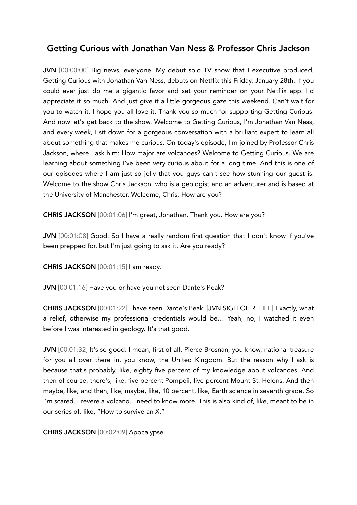# Getting Curious with Jonathan Van Ness & Professor Chris Jackson

JVN [00:00:00] Big news, everyone. My debut solo TV show that I executive produced, Getting Curious with Jonathan Van Ness, debuts on Netflix this Friday, January 28th. If you could ever just do me a gigantic favor and set your reminder on your Netflix app. I'd appreciate it so much. And just give it a little gorgeous gaze this weekend. Can't wait for you to watch it, I hope you all love it. Thank you so much for supporting Getting Curious. And now let's get back to the show. Welcome to Getting Curious, I'm Jonathan Van Ness, and every week, I sit down for a gorgeous conversation with a brilliant expert to learn all about something that makes me curious. On today's episode, I'm joined by Professor Chris Jackson, where I ask him: How major are volcanoes? Welcome to Getting Curious. We are learning about something I've been very curious about for a long time. And this is one of our episodes where I am just so jelly that you guys can't see how stunning our guest is. Welcome to the show Chris Jackson, who is a geologist and an adventurer and is based at the University of Manchester. Welcome, Chris. How are you?

CHRIS JACKSON [00:01:06] I'm great, Jonathan. Thank you. How are you?

JVN [00:01:08] Good. So I have a really random first question that I don't know if you've been prepped for, but I'm just going to ask it. Are you ready?

CHRIS JACKSON [00:01:15] I am ready.

JVN [00:01:16] Have you or have you not seen Dante's Peak?

CHRIS JACKSON [00:01:22] I have seen Dante's Peak. [JVN SIGH OF RELIEF] Exactly, what a relief, otherwise my professional credentials would be… Yeah, no, I watched it even before I was interested in geology. It's that good.

JVN [00:01:32] It's so good. I mean, first of all, Pierce Brosnan, you know, national treasure for you all over there in, you know, the United Kingdom. But the reason why I ask is because that's probably, like, eighty five percent of my knowledge about volcanoes. And then of course, there's, like, five percent Pompeii, five percent Mount St. Helens. And then maybe, like, and then, like, maybe, like, 10 percent, like, Earth science in seventh grade. So I'm scared. I revere a volcano. I need to know more. This is also kind of, like, meant to be in our series of, like, "How to survive an X."

CHRIS JACKSON [00:02:09] Apocalypse.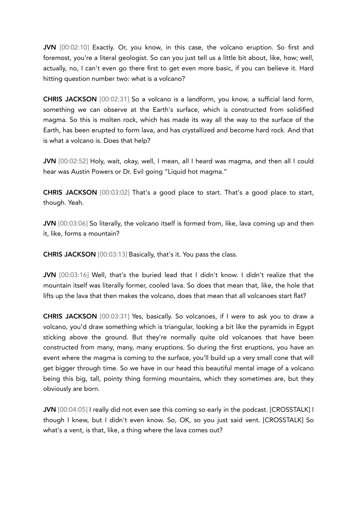JVN [00:02:10] Exactly. Or, you know, in this case, the volcano eruption. So first and foremost, you're a literal geologist. So can you just tell us a little bit about, like, how; well, actually, no, I can't even go there first to get even more basic, if you can believe it. Hard hitting question number two: what is a volcano?

CHRIS JACKSON [00:02:31] So a volcano is a landform, you know, a sufficial land form, something we can observe at the Earth's surface, which is constructed from solidified magma. So this is molten rock, which has made its way all the way to the surface of the Earth, has been erupted to form lava, and has crystallized and become hard rock. And that is what a volcano is. Does that help?

JVN [00:02:52] Holy, wait, okay, well, I mean, all I heard was magma, and then all I could hear was Austin Powers or Dr. Evil going "Liquid hot magma."

CHRIS JACKSON [00:03:02] That's a good place to start. That's a good place to start, though. Yeah.

JVN [00:03:06] So literally, the volcano itself is formed from, like, lava coming up and then it, like, forms a mountain?

CHRIS JACKSON [00:03:13] Basically, that's it. You pass the class.

JVN [00:03:16] Well, that's the buried lead that I didn't know. I didn't realize that the mountain itself was literally former, cooled lava. So does that mean that, like, the hole that lifts up the lava that then makes the volcano, does that mean that all volcanoes start flat?

CHRIS JACKSON [00:03:31] Yes, basically. So volcanoes, if I were to ask you to draw a volcano, you'd draw something which is triangular, looking a bit like the pyramids in Egypt sticking above the ground. But they're normally quite old volcanoes that have been constructed from many, many, many eruptions. So during the first eruptions, you have an event where the magma is coming to the surface, you'll build up a very small cone that will get bigger through time. So we have in our head this beautiful mental image of a volcano being this big, tall, pointy thing forming mountains, which they sometimes are, but they obviously are born.

JVN [00:04:05] I really did not even see this coming so early in the podcast. [CROSSTALK] I though I knew, but I didn't even know. So, OK, so you just said vent. [CROSSTALK] So what's a vent, is that, like, a thing where the lava comes out?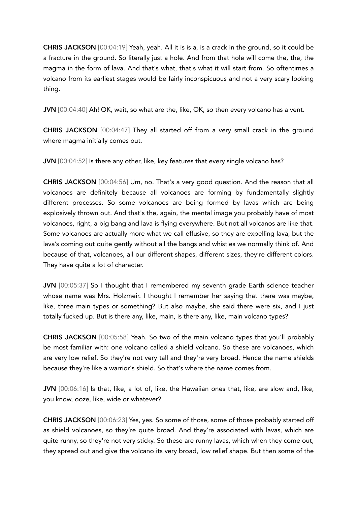CHRIS JACKSON [00:04:19] Yeah, yeah. All it is is a, is a crack in the ground, so it could be a fracture in the ground. So literally just a hole. And from that hole will come the, the, the magma in the form of lava. And that's what, that's what it will start from. So oftentimes a volcano from its earliest stages would be fairly inconspicuous and not a very scary looking thing.

JVN [00:04:40] Ah! OK, wait, so what are the, like, OK, so then every volcano has a vent.

CHRIS JACKSON [00:04:47] They all started off from a very small crack in the ground where magma initially comes out.

JVN [00:04:52] Is there any other, like, key features that every single volcano has?

CHRIS JACKSON [00:04:56] Um, no. That's a very good question. And the reason that all volcanoes are definitely because all volcanoes are forming by fundamentally slightly different processes. So some volcanoes are being formed by lavas which are being explosively thrown out. And that's the, again, the mental image you probably have of most volcanoes, right, a big bang and lava is flying everywhere. But not all volcanos are like that. Some volcanoes are actually more what we call effusive, so they are expelling lava, but the lava's coming out quite gently without all the bangs and whistles we normally think of. And because of that, volcanoes, all our different shapes, different sizes, they're different colors. They have quite a lot of character.

JVN [00:05:37] So I thought that I remembered my seventh grade Earth science teacher whose name was Mrs. Holzmeir. I thought I remember her saying that there was maybe, like, three main types or something? But also maybe, she said there were six, and I just totally fucked up. But is there any, like, main, is there any, like, main volcano types?

CHRIS JACKSON [00:05:58] Yeah. So two of the main volcano types that you'll probably be most familiar with: one volcano called a shield volcano. So these are volcanoes, which are very low relief. So they're not very tall and they're very broad. Hence the name shields because they're like a warrior's shield. So that's where the name comes from.

JVN [00:06:16] Is that, like, a lot of, like, the Hawaiian ones that, like, are slow and, like, you know, ooze, like, wide or whatever?

CHRIS JACKSON [00:06:23] Yes, yes. So some of those, some of those probably started off as shield volcanoes, so they're quite broad. And they're associated with lavas, which are quite runny, so they're not very sticky. So these are runny lavas, which when they come out, they spread out and give the volcano its very broad, low relief shape. But then some of the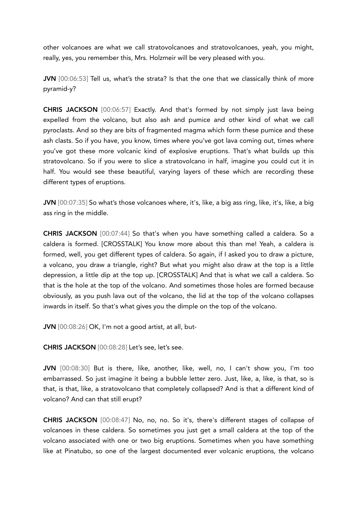other volcanoes are what we call stratovolcanoes and stratovolcanoes, yeah, you might, really, yes, you remember this, Mrs. Holzmeir will be very pleased with you.

JVN [00:06:53] Tell us, what's the strata? Is that the one that we classically think of more pyramid-y?

CHRIS JACKSON [00:06:57] Exactly. And that's formed by not simply just lava being expelled from the volcano, but also ash and pumice and other kind of what we call pyroclasts. And so they are bits of fragmented magma which form these pumice and these ash clasts. So if you have, you know, times where you've got lava coming out, times where you've got these more volcanic kind of explosive eruptions. That's what builds up this stratovolcano. So if you were to slice a stratovolcano in half, imagine you could cut it in half. You would see these beautiful, varying layers of these which are recording these different types of eruptions.

JVN [00:07:35] So what's those volcanoes where, it's, like, a big ass ring, like, it's, like, a big ass ring in the middle.

CHRIS JACKSON [00:07:44] So that's when you have something called a caldera. So a caldera is formed. [CROSSTALK] You know more about this than me! Yeah, a caldera is formed, well, you get different types of caldera. So again, if I asked you to draw a picture, a volcano, you draw a triangle, right? But what you might also draw at the top is a little depression, a little dip at the top up. [CROSSTALK] And that is what we call a caldera. So that is the hole at the top of the volcano. And sometimes those holes are formed because obviously, as you push lava out of the volcano, the lid at the top of the volcano collapses inwards in itself. So that's what gives you the dimple on the top of the volcano.

JVN [00:08:26] OK, I'm not a good artist, at all, but-

CHRIS JACKSON [00:08:28] Let's see, let's see.

JVN [00:08:30] But is there, like, another, like, well, no, I can't show you, I'm too embarrassed. So just imagine it being a bubble letter zero. Just, like, a, like, is that, so is that, is that, like, a stratovolcano that completely collapsed? And is that a different kind of volcano? And can that still erupt?

CHRIS JACKSON [00:08:47] No, no, no. So it's, there's different stages of collapse of volcanoes in these caldera. So sometimes you just get a small caldera at the top of the volcano associated with one or two big eruptions. Sometimes when you have something like at Pinatubo, so one of the largest documented ever volcanic eruptions, the volcano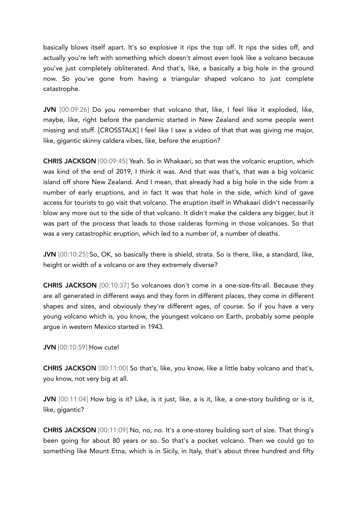basically blows itself apart. It's so explosive it rips the top off. It rips the sides off, and actually you're left with something which doesn't almost even look like a volcano because you've just completely obliterated. And that's, like, a basically a big hole in the ground now. So you've gone from having a triangular shaped volcano to just complete catastrophe.

JVN [00:09:26] Do you remember that volcano that, like, I feel like it exploded, like, maybe, like, right before the pandemic started in New Zealand and some people went missing and stuff. [CROSSTALK] I feel like I saw a video of that that was giving me major, like, gigantic skinny caldera vibes, like, before the eruption?

CHRIS JACKSON [00:09:45] Yeah. So in Whakaari, so that was the volcanic eruption, which was kind of the end of 2019, I think it was. And that was that's, that was a big volcanic island off shore New Zealand. And I mean, that already had a big hole in the side from a number of early eruptions, and in fact It was that hole in the side, which kind of gave access for tourists to go visit that volcano. The eruption itself in Whakaari didn't necessarily blow any more out to the side of that volcano. It didn't make the caldera any bigger, but it was part of the process that leads to those calderas forming in those volcanoes. So that was a very catastrophic eruption, which led to a number of, a number of deaths.

JVN [00:10:25] So, OK, so basically there is shield, strata. So is there, like, a standard, like, height or width of a volcano or are they extremely diverse?

CHRIS JACKSON [00:10:37] So volcanoes don't come in a one-size-fits-all. Because they are all generated in different ways and they form in different places, they come in different shapes and sizes, and obviously they're different ages, of course. So if you have a very young volcano which is, you know, the youngest volcano on Earth, probably some people argue in western Mexico started in 1943.

JVN [00:10:59] How cute!

CHRIS JACKSON [00:11:00] So that's, like, you know, like a little baby volcano and that's, you know, not very big at all.

JVN [00:11:04] How big is it? Like, is it just, like, a is it, like, a one-story building or is it, like, gigantic?

CHRIS JACKSON [00:11:09] No, no, no. It's a one-storey building sort of size. That thing's been going for about 80 years or so. So that's a pocket volcano. Then we could go to something like Mount Etna, which is in Sicily, in Italy, that's about three hundred and fifty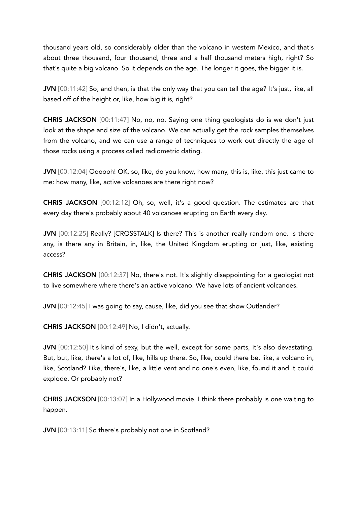thousand years old, so considerably older than the volcano in western Mexico, and that's about three thousand, four thousand, three and a half thousand meters high, right? So that's quite a big volcano. So it depends on the age. The longer it goes, the bigger it is.

JVN [00:11:42] So, and then, is that the only way that you can tell the age? It's just, like, all based off of the height or, like, how big it is, right?

CHRIS JACKSON [00:11:47] No, no, no. Saying one thing geologists do is we don't just look at the shape and size of the volcano. We can actually get the rock samples themselves from the volcano, and we can use a range of techniques to work out directly the age of those rocks using a process called radiometric dating.

JVN [00:12:04] Oooooh! OK, so, like, do you know, how many, this is, like, this just came to me: how many, like, active volcanoes are there right now?

CHRIS JACKSON [00:12:12] Oh, so, well, it's a good question. The estimates are that every day there's probably about 40 volcanoes erupting on Earth every day.

JVN [00:12:25] Really? [CROSSTALK] Is there? This is another really random one. Is there any, is there any in Britain, in, like, the United Kingdom erupting or just, like, existing access?

CHRIS JACKSON [00:12:37] No, there's not. It's slightly disappointing for a geologist not to live somewhere where there's an active volcano. We have lots of ancient volcanoes.

JVN [00:12:45] I was going to say, cause, like, did you see that show Outlander?

CHRIS JACKSON [00:12:49] No, I didn't, actually.

JVN [00:12:50] It's kind of sexy, but the well, except for some parts, it's also devastating. But, but, like, there's a lot of, like, hills up there. So, like, could there be, like, a volcano in, like, Scotland? Like, there's, like, a little vent and no one's even, like, found it and it could explode. Or probably not?

CHRIS JACKSON [00:13:07] In a Hollywood movie. I think there probably is one waiting to happen.

JVN [00:13:11] So there's probably not one in Scotland?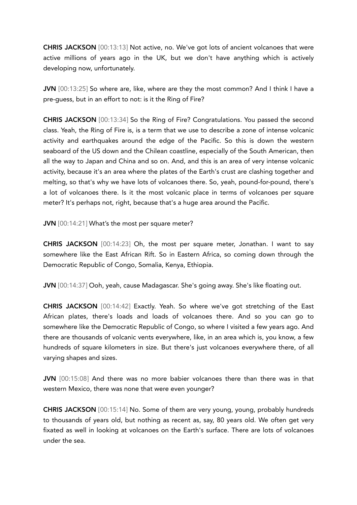CHRIS JACKSON [00:13:13] Not active, no. We've got lots of ancient volcanoes that were active millions of years ago in the UK, but we don't have anything which is actively developing now, unfortunately.

JVN [00:13:25] So where are, like, where are they the most common? And I think I have a pre-guess, but in an effort to not: is it the Ring of Fire?

CHRIS JACKSON [00:13:34] So the Ring of Fire? Congratulations. You passed the second class. Yeah, the Ring of Fire is, is a term that we use to describe a zone of intense volcanic activity and earthquakes around the edge of the Pacific. So this is down the western seaboard of the US down and the Chilean coastline, especially of the South American, then all the way to Japan and China and so on. And, and this is an area of very intense volcanic activity, because it's an area where the plates of the Earth's crust are clashing together and melting, so that's why we have lots of volcanoes there. So, yeah, pound-for-pound, there's a lot of volcanoes there. Is it the most volcanic place in terms of volcanoes per square meter? It's perhaps not, right, because that's a huge area around the Pacific.

JVN [00:14:21] What's the most per square meter?

CHRIS JACKSON [00:14:23] Oh, the most per square meter, Jonathan. I want to say somewhere like the East African Rift. So in Eastern Africa, so coming down through the Democratic Republic of Congo, Somalia, Kenya, Ethiopia.

JVN [00:14:37] Ooh, yeah, cause Madagascar. She's going away. She's like floating out.

CHRIS JACKSON [00:14:42] Exactly. Yeah. So where we've got stretching of the East African plates, there's loads and loads of volcanoes there. And so you can go to somewhere like the Democratic Republic of Congo, so where I visited a few years ago. And there are thousands of volcanic vents everywhere, like, in an area which is, you know, a few hundreds of square kilometers in size. But there's just volcanoes everywhere there, of all varying shapes and sizes.

JVN [00:15:08] And there was no more babier volcanoes there than there was in that western Mexico, there was none that were even younger?

CHRIS JACKSON [00:15:14] No. Some of them are very young, young, probably hundreds to thousands of years old, but nothing as recent as, say, 80 years old. We often get very fixated as well in looking at volcanoes on the Earth's surface. There are lots of volcanoes under the sea.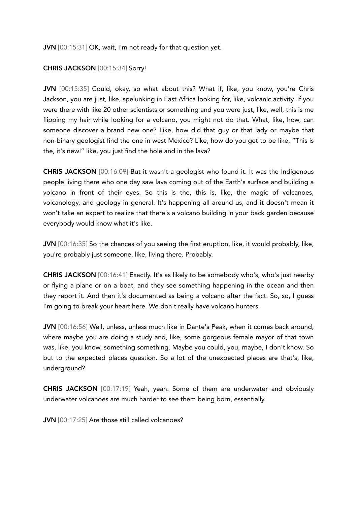JVN [00:15:31] OK, wait, I'm not ready for that question yet.

## CHRIS JACKSON [00:15:34] Sorry!

JVN [00:15:35] Could, okay, so what about this? What if, like, you know, you're Chris Jackson, you are just, like, spelunking in East Africa looking for, like, volcanic activity. If you were there with like 20 other scientists or something and you were just, like, well, this is me flipping my hair while looking for a volcano, you might not do that. What, like, how, can someone discover a brand new one? Like, how did that guy or that lady or maybe that non-binary geologist find the one in west Mexico? Like, how do you get to be like, "This is the, it's new!" like, you just find the hole and in the lava?

CHRIS JACKSON [00:16:09] But it wasn't a geologist who found it. It was the Indigenous people living there who one day saw lava coming out of the Earth's surface and building a volcano in front of their eyes. So this is the, this is, like, the magic of volcanoes, volcanology, and geology in general. It's happening all around us, and it doesn't mean it won't take an expert to realize that there's a volcano building in your back garden because everybody would know what it's like.

JVN [00:16:35] So the chances of you seeing the first eruption, like, it would probably, like, you're probably just someone, like, living there. Probably.

CHRIS JACKSON [00:16:41] Exactly. It's as likely to be somebody who's, who's just nearby or flying a plane or on a boat, and they see something happening in the ocean and then they report it. And then it's documented as being a volcano after the fact. So, so, I guess I'm going to break your heart here. We don't really have volcano hunters.

JVN [00:16:56] Well, unless, unless much like in Dante's Peak, when it comes back around, where maybe you are doing a study and, like, some gorgeous female mayor of that town was, like, you know, something something. Maybe you could, you, maybe, I don't know. So but to the expected places question. So a lot of the unexpected places are that's, like, underground?

CHRIS JACKSON [00:17:19] Yeah, yeah. Some of them are underwater and obviously underwater volcanoes are much harder to see them being born, essentially.

JVN [00:17:25] Are those still called volcanoes?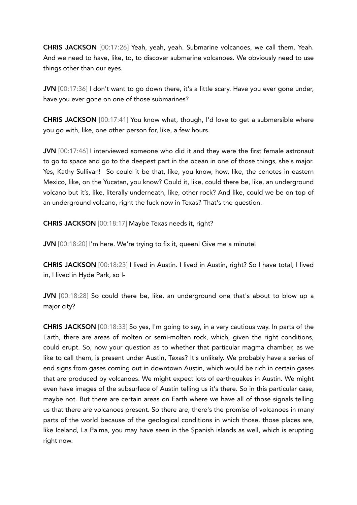CHRIS JACKSON [00:17:26] Yeah, yeah, yeah. Submarine volcanoes, we call them. Yeah. And we need to have, like, to, to discover submarine volcanoes. We obviously need to use things other than our eyes.

JVN [00:17:36] I don't want to go down there, it's a little scary. Have you ever gone under, have you ever gone on one of those submarines?

CHRIS JACKSON [00:17:41] You know what, though, I'd love to get a submersible where you go with, like, one other person for, like, a few hours.

JVN [00:17:46] I interviewed someone who did it and they were the first female astronaut to go to space and go to the deepest part in the ocean in one of those things, she's major. Yes, Kathy Sullivan! So could it be that, like, you know, how, like, the cenotes in eastern Mexico, like, on the Yucatan, you know? Could it, like, could there be, like, an underground volcano but it's, like, literally underneath, like, other rock? And like, could we be on top of an underground volcano, right the fuck now in Texas? That's the question.

CHRIS JACKSON [00:18:17] Maybe Texas needs it, right?

JVN [00:18:20] I'm here. We're trying to fix it, queen! Give me a minute!

CHRIS JACKSON [00:18:23] I lived in Austin. I lived in Austin, right? So I have total, I lived in, I lived in Hyde Park, so I-

JVN [00:18:28] So could there be, like, an underground one that's about to blow up a major city?

CHRIS JACKSON [00:18:33] So yes, I'm going to say, in a very cautious way. In parts of the Earth, there are areas of molten or semi-molten rock, which, given the right conditions, could erupt. So, now your question as to whether that particular magma chamber, as we like to call them, is present under Austin, Texas? It's unlikely. We probably have a series of end signs from gases coming out in downtown Austin, which would be rich in certain gases that are produced by volcanoes. We might expect lots of earthquakes in Austin. We might even have images of the subsurface of Austin telling us it's there. So in this particular case, maybe not. But there are certain areas on Earth where we have all of those signals telling us that there are volcanoes present. So there are, there's the promise of volcanoes in many parts of the world because of the geological conditions in which those, those places are, like Iceland, La Palma, you may have seen in the Spanish islands as well, which is erupting right now.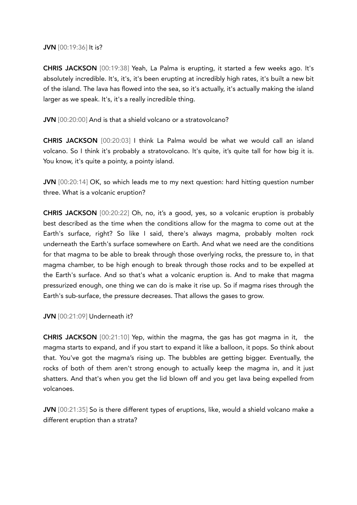## JVN [00:19:36] It is?

CHRIS JACKSON [00:19:38] Yeah, La Palma is erupting, it started a few weeks ago. It's absolutely incredible. It's, it's, it's been erupting at incredibly high rates, it's built a new bit of the island. The lava has flowed into the sea, so it's actually, it's actually making the island larger as we speak. It's, it's a really incredible thing.

## JVN [00:20:00] And is that a shield volcano or a stratovolcano?

CHRIS JACKSON [00:20:03] I think La Palma would be what we would call an island volcano. So I think it's probably a stratovolcano. It's quite, it's quite tall for how big it is. You know, it's quite a pointy, a pointy island.

JVN [00:20:14] OK, so which leads me to my next question: hard hitting question number three. What is a volcanic eruption?

CHRIS JACKSON [00:20:22] Oh, no, it's a good, yes, so a volcanic eruption is probably best described as the time when the conditions allow for the magma to come out at the Earth's surface, right? So like I said, there's always magma, probably molten rock underneath the Earth's surface somewhere on Earth. And what we need are the conditions for that magma to be able to break through those overlying rocks, the pressure to, in that magma chamber, to be high enough to break through those rocks and to be expelled at the Earth's surface. And so that's what a volcanic eruption is. And to make that magma pressurized enough, one thing we can do is make it rise up. So if magma rises through the Earth's sub-surface, the pressure decreases. That allows the gases to grow.

## JVN [00:21:09] Underneath it?

CHRIS JACKSON [00:21:10] Yep, within the magma, the gas has got magma in it, the magma starts to expand, and if you start to expand it like a balloon, it pops. So think about that. You've got the magma's rising up. The bubbles are getting bigger. Eventually, the rocks of both of them aren't strong enough to actually keep the magma in, and it just shatters. And that's when you get the lid blown off and you get lava being expelled from volcanoes.

JVN [00:21:35] So is there different types of eruptions, like, would a shield volcano make a different eruption than a strata?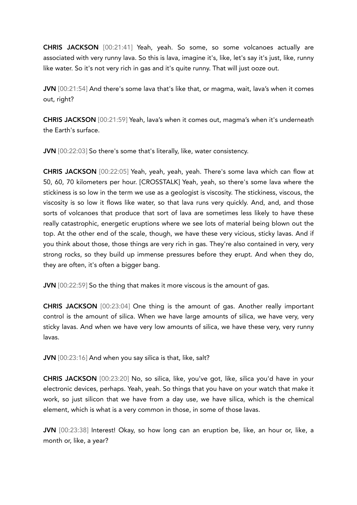CHRIS JACKSON [00:21:41] Yeah, yeah. So some, so some volcanoes actually are associated with very runny lava. So this is lava, imagine it's, like, let's say it's just, like, runny like water. So it's not very rich in gas and it's quite runny. That will just ooze out.

JVN [00:21:54] And there's some lava that's like that, or magma, wait, lava's when it comes out, right?

CHRIS JACKSON [00:21:59] Yeah, lava's when it comes out, magma's when it's underneath the Earth's surface.

JVN [00:22:03] So there's some that's literally, like, water consistency.

CHRIS JACKSON [00:22:05] Yeah, yeah, yeah, yeah. There's some lava which can flow at 50, 60, 70 kilometers per hour. [CROSSTALK] Yeah, yeah, so there's some lava where the stickiness is so low in the term we use as a geologist is viscosity. The stickiness, viscous, the viscosity is so low it flows like water, so that lava runs very quickly. And, and, and those sorts of volcanoes that produce that sort of lava are sometimes less likely to have these really catastrophic, energetic eruptions where we see lots of material being blown out the top. At the other end of the scale, though, we have these very vicious, sticky lavas. And if you think about those, those things are very rich in gas. They're also contained in very, very strong rocks, so they build up immense pressures before they erupt. And when they do, they are often, it's often a bigger bang.

JVN  $[00:22:59]$  So the thing that makes it more viscous is the amount of gas.

CHRIS JACKSON [00:23:04] One thing is the amount of gas. Another really important control is the amount of silica. When we have large amounts of silica, we have very, very sticky lavas. And when we have very low amounts of silica, we have these very, very runny lavas.

JVN [00:23:16] And when you say silica is that, like, salt?

CHRIS JACKSON [00:23:20] No, so silica, like, you've got, like, silica you'd have in your electronic devices, perhaps. Yeah, yeah. So things that you have on your watch that make it work, so just silicon that we have from a day use, we have silica, which is the chemical element, which is what is a very common in those, in some of those lavas.

JVN [00:23:38] Interest! Okay, so how long can an eruption be, like, an hour or, like, a month or, like, a year?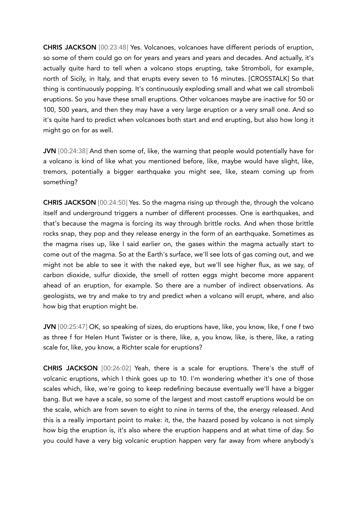CHRIS JACKSON [00:23:48] Yes. Volcanoes, volcanoes have different periods of eruption, so some of them could go on for years and years and years and decades. And actually, it's actually quite hard to tell when a volcano stops erupting, take Stromboli, for example, north of Sicily, in Italy, and that erupts every seven to 16 minutes. [CROSSTALK] So that thing is continuously popping. It's continuously exploding small and what we call stromboli eruptions. So you have these small eruptions. Other volcanoes maybe are inactive for 50 or 100, 500 years, and then they may have a very large eruption or a very small one. And so it's quite hard to predict when volcanoes both start and end erupting, but also how long it might go on for as well.

JVN [00:24:38] And then some of, like, the warning that people would potentially have for a volcano is kind of like what you mentioned before, like, maybe would have slight, like, tremors, potentially a bigger earthquake you might see, like, steam coming up from something?

CHRIS JACKSON [00:24:50] Yes. So the magma rising up through the, through the volcano itself and underground triggers a number of different processes. One is earthquakes, and that's because the magma is forcing its way through brittle rocks. And when those brittle rocks snap, they pop and they release energy in the form of an earthquake. Sometimes as the magma rises up, like I said earlier on, the gases within the magma actually start to come out of the magma. So at the Earth's surface, we'll see lots of gas coming out, and we might not be able to see it with the naked eye, but we'll see higher flux, as we say, of carbon dioxide, sulfur dioxide, the smell of rotten eggs might become more apparent ahead of an eruption, for example. So there are a number of indirect observations. As geologists, we try and make to try and predict when a volcano will erupt, where, and also how big that eruption might be.

JVN [00:25:47] OK, so speaking of sizes, do eruptions have, like, you know, like, f one f two as three f for Helen Hunt Twister or is there, like, a, you know, like, is there, like, a rating scale for, like, you know, a Richter scale for eruptions?

CHRIS JACKSON [00:26:02] Yeah, there is a scale for eruptions. There's the stuff of volcanic eruptions, which I think goes up to 10. I'm wondering whether it's one of those scales which, like, we're going to keep redefining because eventually we'll have a bigger bang. But we have a scale, so some of the largest and most castoff eruptions would be on the scale, which are from seven to eight to nine in terms of the, the energy released. And this is a really important point to make: it, the, the hazard posed by volcano is not simply how big the eruption is, it's also where the eruption happens and at what time of day. So you could have a very big volcanic eruption happen very far away from where anybody's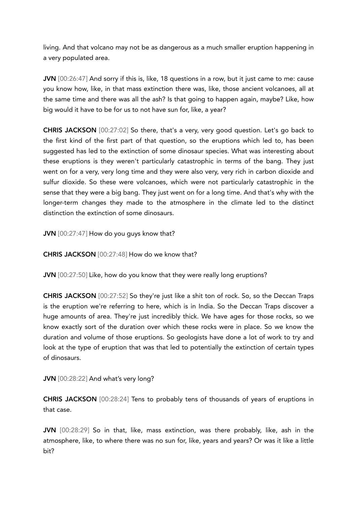living. And that volcano may not be as dangerous as a much smaller eruption happening in a very populated area.

JVN [00:26:47] And sorry if this is, like, 18 questions in a row, but it just came to me: cause you know how, like, in that mass extinction there was, like, those ancient volcanoes, all at the same time and there was all the ash? Is that going to happen again, maybe? Like, how big would it have to be for us to not have sun for, like, a year?

CHRIS JACKSON [00:27:02] So there, that's a very, very good question. Let's go back to the first kind of the first part of that question, so the eruptions which led to, has been suggested has led to the extinction of some dinosaur species. What was interesting about these eruptions is they weren't particularly catastrophic in terms of the bang. They just went on for a very, very long time and they were also very, very rich in carbon dioxide and sulfur dioxide. So these were volcanoes, which were not particularly catastrophic in the sense that they were a big bang. They just went on for a long time. And that's why with the longer-term changes they made to the atmosphere in the climate led to the distinct distinction the extinction of some dinosaurs.

JVN [00:27:47] How do you guys know that?

CHRIS JACKSON [00:27:48] How do we know that?

JVN [00:27:50] Like, how do you know that they were really long eruptions?

CHRIS JACKSON [00:27:52] So they're just like a shit ton of rock. So, so the Deccan Traps is the eruption we're referring to here, which is in India. So the Deccan Traps discover a huge amounts of area. They're just incredibly thick. We have ages for those rocks, so we know exactly sort of the duration over which these rocks were in place. So we know the duration and volume of those eruptions. So geologists have done a lot of work to try and look at the type of eruption that was that led to potentially the extinction of certain types of dinosaurs.

JVN [00:28:22] And what's very long?

CHRIS JACKSON [00:28:24] Tens to probably tens of thousands of years of eruptions in that case.

JVN [00:28:29] So in that, like, mass extinction, was there probably, like, ash in the atmosphere, like, to where there was no sun for, like, years and years? Or was it like a little bit?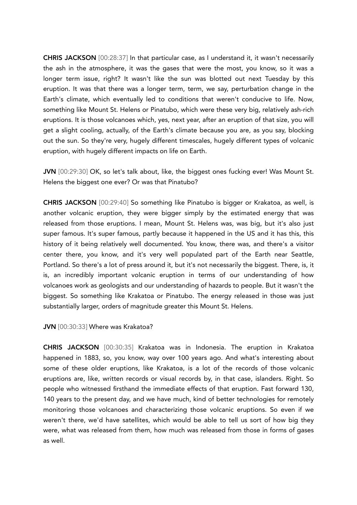CHRIS JACKSON [00:28:37] In that particular case, as I understand it, it wasn't necessarily the ash in the atmosphere, it was the gases that were the most, you know, so it was a longer term issue, right? It wasn't like the sun was blotted out next Tuesday by this eruption. It was that there was a longer term, term, we say, perturbation change in the Earth's climate, which eventually led to conditions that weren't conducive to life. Now, something like Mount St. Helens or Pinatubo, which were these very big, relatively ash-rich eruptions. It is those volcanoes which, yes, next year, after an eruption of that size, you will get a slight cooling, actually, of the Earth's climate because you are, as you say, blocking out the sun. So they're very, hugely different timescales, hugely different types of volcanic eruption, with hugely different impacts on life on Earth.

JVN [00:29:30] OK, so let's talk about, like, the biggest ones fucking ever! Was Mount St. Helens the biggest one ever? Or was that Pinatubo?

CHRIS JACKSON [00:29:40] So something like Pinatubo is bigger or Krakatoa, as well, is another volcanic eruption, they were bigger simply by the estimated energy that was released from those eruptions. I mean, Mount St. Helens was, was big, but it's also just super famous. It's super famous, partly because it happened in the US and it has this, this history of it being relatively well documented. You know, there was, and there's a visitor center there, you know, and it's very well populated part of the Earth near Seattle, Portland. So there's a lot of press around it, but it's not necessarily the biggest. There, is, it is, an incredibly important volcanic eruption in terms of our understanding of how volcanoes work as geologists and our understanding of hazards to people. But it wasn't the biggest. So something like Krakatoa or Pinatubo. The energy released in those was just substantially larger, orders of magnitude greater this Mount St. Helens.

## JVN [00:30:33] Where was Krakatoa?

CHRIS JACKSON [00:30:35] Krakatoa was in Indonesia. The eruption in Krakatoa happened in 1883, so, you know, way over 100 years ago. And what's interesting about some of these older eruptions, like Krakatoa, is a lot of the records of those volcanic eruptions are, like, written records or visual records by, in that case, islanders. Right. So people who witnessed firsthand the immediate effects of that eruption. Fast forward 130, 140 years to the present day, and we have much, kind of better technologies for remotely monitoring those volcanoes and characterizing those volcanic eruptions. So even if we weren't there, we'd have satellites, which would be able to tell us sort of how big they were, what was released from them, how much was released from those in forms of gases as well.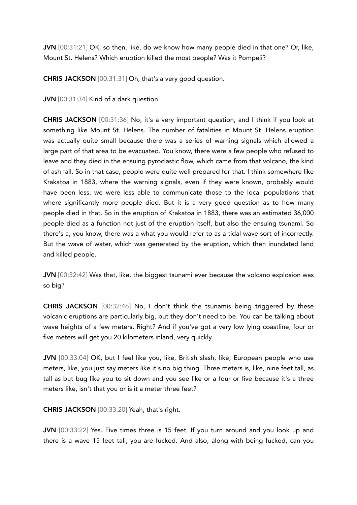JVN [00:31:21] OK, so then, like, do we know how many people died in that one? Or, like, Mount St. Helens? Which eruption killed the most people? Was it Pompeii?

CHRIS JACKSON [00:31:31] Oh, that's a very good question.

JVN [00:31:34] Kind of a dark question.

CHRIS JACKSON [00:31:36] No, it's a very important question, and I think if you look at something like Mount St. Helens. The number of fatalities in Mount St. Helens eruption was actually quite small because there was a series of warning signals which allowed a large part of that area to be evacuated. You know, there were a few people who refused to leave and they died in the ensuing pyroclastic flow, which came from that volcano, the kind of ash fall. So in that case, people were quite well prepared for that. I think somewhere like Krakatoa in 1883, where the warning signals, even if they were known, probably would have been less, we were less able to communicate those to the local populations that where significantly more people died. But it is a very good question as to how many people died in that. So in the eruption of Krakatoa in 1883, there was an estimated 36,000 people died as a function not just of the eruption itself, but also the ensuing tsunami. So there's a, you know, there was a what you would refer to as a tidal wave sort of incorrectly. But the wave of water, which was generated by the eruption, which then inundated land and killed people.

JVN [00:32:42] Was that, like, the biggest tsunami ever because the volcano explosion was so big?

CHRIS JACKSON [00:32:46] No, I don't think the tsunamis being triggered by these volcanic eruptions are particularly big, but they don't need to be. You can be talking about wave heights of a few meters. Right? And if you've got a very low lying coastline, four or five meters will get you 20 kilometers inland, very quickly.

JVN [00:33:04] OK, but I feel like you, like, British slash, like, European people who use meters, like, you just say meters like it's no big thing. Three meters is, like, nine feet tall, as tall as but bug like you to sit down and you see like or a four or five because it's a three meters like, isn't that you or is it a meter three feet?

CHRIS JACKSON [00:33:20] Yeah, that's right.

JVN [00:33:22] Yes. Five times three is 15 feet. If you turn around and you look up and there is a wave 15 feet tall, you are fucked. And also, along with being fucked, can you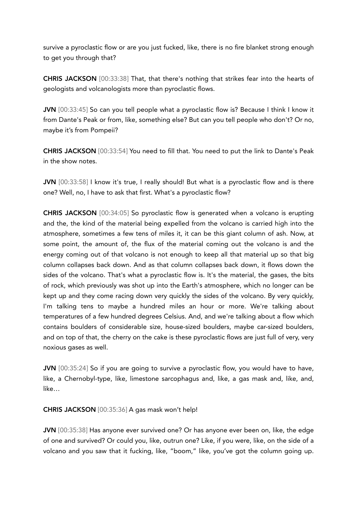survive a pyroclastic flow or are you just fucked, like, there is no fire blanket strong enough to get you through that?

CHRIS JACKSON [00:33:38] That, that there's nothing that strikes fear into the hearts of geologists and volcanologists more than pyroclastic flows.

JVN [00:33:45] So can you tell people what a pyroclastic flow is? Because I think I know it from Dante's Peak or from, like, something else? But can you tell people who don't? Or no, maybe it's from Pompeii?

CHRIS JACKSON [00:33:54] You need to fill that. You need to put the link to Dante's Peak in the show notes.

JVN [00:33:58] I know it's true, I really should! But what is a pyroclastic flow and is there one? Well, no, I have to ask that first. What's a pyroclastic flow?

CHRIS JACKSON [00:34:05] So pyroclastic flow is generated when a volcano is erupting and the, the kind of the material being expelled from the volcano is carried high into the atmosphere, sometimes a few tens of miles it, it can be this giant column of ash. Now, at some point, the amount of, the flux of the material coming out the volcano is and the energy coming out of that volcano is not enough to keep all that material up so that big column collapses back down. And as that column collapses back down, it flows down the sides of the volcano. That's what a pyroclastic flow is. It's the material, the gases, the bits of rock, which previously was shot up into the Earth's atmosphere, which no longer can be kept up and they come racing down very quickly the sides of the volcano. By very quickly, I'm talking tens to maybe a hundred miles an hour or more. We're talking about temperatures of a few hundred degrees Celsius. And, and we're talking about a flow which contains boulders of considerable size, house-sized boulders, maybe car-sized boulders, and on top of that, the cherry on the cake is these pyroclastic flows are just full of very, very noxious gases as well.

JVN [00:35:24] So if you are going to survive a pyroclastic flow, you would have to have, like, a Chernobyl-type, like, limestone sarcophagus and, like, a gas mask and, like, and, like…

CHRIS JACKSON [00:35:36] A gas mask won't help!

JVN [00:35:38] Has anyone ever survived one? Or has anyone ever been on, like, the edge of one and survived? Or could you, like, outrun one? Like, if you were, like, on the side of a volcano and you saw that it fucking, like, "boom," like, you've got the column going up.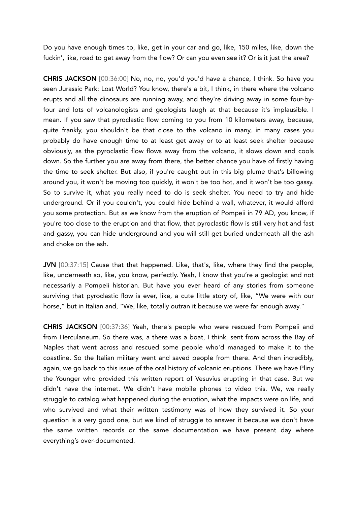Do you have enough times to, like, get in your car and go, like, 150 miles, like, down the fuckin', like, road to get away from the flow? Or can you even see it? Or is it just the area?

CHRIS JACKSON [00:36:00] No, no, no, you'd you'd have a chance, I think. So have you seen Jurassic Park: Lost World? You know, there's a bit, I think, in there where the volcano erupts and all the dinosaurs are running away, and they're driving away in some four-byfour and lots of volcanologists and geologists laugh at that because it's implausible. I mean. If you saw that pyroclastic flow coming to you from 10 kilometers away, because, quite frankly, you shouldn't be that close to the volcano in many, in many cases you probably do have enough time to at least get away or to at least seek shelter because obviously, as the pyroclastic flow flows away from the volcano, it slows down and cools down. So the further you are away from there, the better chance you have of firstly having the time to seek shelter. But also, if you're caught out in this big plume that's billowing around you, it won't be moving too quickly, it won't be too hot, and it won't be too gassy. So to survive it, what you really need to do is seek shelter. You need to try and hide underground. Or if you couldn't, you could hide behind a wall, whatever, it would afford you some protection. But as we know from the eruption of Pompeii in 79 AD, you know, if you're too close to the eruption and that flow, that pyroclastic flow is still very hot and fast and gassy, you can hide underground and you will still get buried underneath all the ash and choke on the ash.

JVN [00:37:15] Cause that that happened. Like, that's, like, where they find the people, like, underneath so, like, you know, perfectly. Yeah, I know that you're a geologist and not necessarily a Pompeii historian. But have you ever heard of any stories from someone surviving that pyroclastic flow is ever, like, a cute little story of, like, "We were with our horse," but in Italian and, "We, like, totally outran it because we were far enough away."

CHRIS JACKSON [00:37:36] Yeah, there's people who were rescued from Pompeii and from Herculaneum. So there was, a there was a boat, I think, sent from across the Bay of Naples that went across and rescued some people who'd managed to make it to the coastline. So the Italian military went and saved people from there. And then incredibly, again, we go back to this issue of the oral history of volcanic eruptions. There we have Pliny the Younger who provided this written report of Vesuvius erupting in that case. But we didn't have the internet. We didn't have mobile phones to video this. We, we really struggle to catalog what happened during the eruption, what the impacts were on life, and who survived and what their written testimony was of how they survived it. So your question is a very good one, but we kind of struggle to answer it because we don't have the same written records or the same documentation we have present day where everything's over-documented.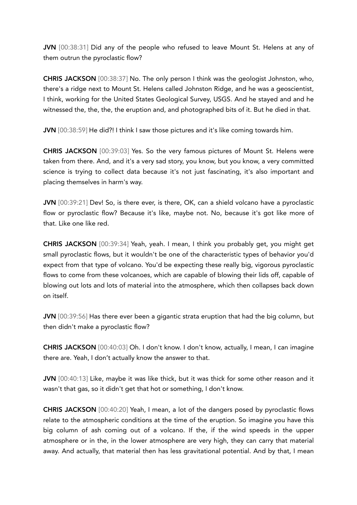JVN [00:38:31] Did any of the people who refused to leave Mount St. Helens at any of them outrun the pyroclastic flow?

CHRIS JACKSON [00:38:37] No. The only person I think was the geologist Johnston, who, there's a ridge next to Mount St. Helens called Johnston Ridge, and he was a geoscientist, I think, working for the United States Geological Survey, USGS. And he stayed and and he witnessed the, the, the, the eruption and, and photographed bits of it. But he died in that.

JVN [00:38:59] He did?! I think I saw those pictures and it's like coming towards him.

CHRIS JACKSON [00:39:03] Yes. So the very famous pictures of Mount St. Helens were taken from there. And, and it's a very sad story, you know, but you know, a very committed science is trying to collect data because it's not just fascinating, it's also important and placing themselves in harm's way.

JVN [00:39:21] Dev! So, is there ever, is there, OK, can a shield volcano have a pyroclastic flow or pyroclastic flow? Because it's like, maybe not. No, because it's got like more of that. Like one like red.

CHRIS JACKSON [00:39:34] Yeah, yeah. I mean, I think you probably get, you might get small pyroclastic flows, but it wouldn't be one of the characteristic types of behavior you'd expect from that type of volcano. You'd be expecting these really big, vigorous pyroclastic flows to come from these volcanoes, which are capable of blowing their lids off, capable of blowing out lots and lots of material into the atmosphere, which then collapses back down on itself.

JVN [00:39:56] Has there ever been a gigantic strata eruption that had the big column, but then didn't make a pyroclastic flow?

CHRIS JACKSON [00:40:03] Oh. I don't know. I don't know, actually, I mean, I can imagine there are. Yeah, I don't actually know the answer to that.

JVN [00:40:13] Like, maybe it was like thick, but it was thick for some other reason and it wasn't that gas, so it didn't get that hot or something, I don't know.

CHRIS JACKSON [00:40:20] Yeah, I mean, a lot of the dangers posed by pyroclastic flows relate to the atmospheric conditions at the time of the eruption. So imagine you have this big column of ash coming out of a volcano. If the, if the wind speeds in the upper atmosphere or in the, in the lower atmosphere are very high, they can carry that material away. And actually, that material then has less gravitational potential. And by that, I mean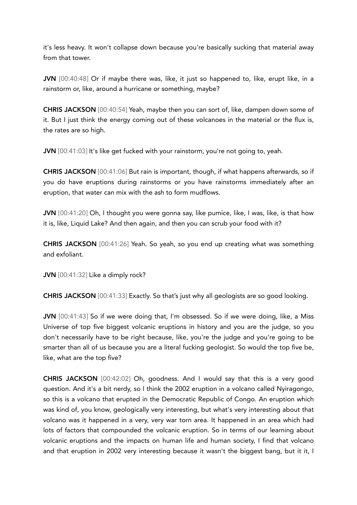it's less heavy. It won't collapse down because you're basically sucking that material away from that tower.

JVN [00:40:48] Or if maybe there was, like, it just so happened to, like, erupt like, in a rainstorm or, like, around a hurricane or something, maybe?

CHRIS JACKSON [00:40:54] Yeah, maybe then you can sort of, like, dampen down some of it. But I just think the energy coming out of these volcanoes in the material or the flux is, the rates are so high.

JVN [00:41:03] It's like get fucked with your rainstorm, you're not going to, yeah.

CHRIS JACKSON [00:41:06] But rain is important, though, if what happens afterwards, so if you do have eruptions during rainstorms or you have rainstorms immediately after an eruption, that water can mix with the ash to form mudflows.

JVN [00:41:20] Oh, I thought you were gonna say, like pumice, like, I was, like, is that how it is, like, Liquid Lake? And then again, and then you can scrub your food with it?

CHRIS JACKSON [00:41:26] Yeah. So yeah, so you end up creating what was something and exfoliant.

JVN [00:41:32] Like a dimply rock?

CHRIS JACKSON [00:41:33] Exactly. So that's just why all geologists are so good looking.

JVN [00:41:43] So if we were doing that, I'm obsessed. So if we were doing, like, a Miss Universe of top five biggest volcanic eruptions in history and you are the judge, so you don't necessarily have to be right because, like, you're the judge and you're going to be smarter than all of us because you are a literal fucking geologist. So would the top five be, like, what are the top five?

CHRIS JACKSON [00:42:02] Oh, goodness. And I would say that this is a very good question. And it's a bit nerdy, so I think the 2002 eruption in a volcano called Nyiragongo, so this is a volcano that erupted in the Democratic Republic of Congo. An eruption which was kind of, you know, geologically very interesting, but what's very interesting about that volcano was it happened in a very, very war torn area. It happened in an area which had lots of factors that compounded the volcanic eruption. So in terms of our learning about volcanic eruptions and the impacts on human life and human society, I find that volcano and that eruption in 2002 very interesting because it wasn't the biggest bang, but it it, I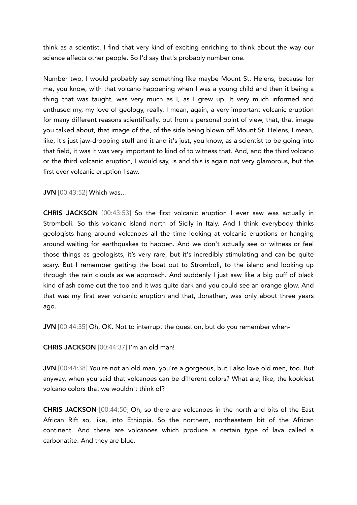think as a scientist, I find that very kind of exciting enriching to think about the way our science affects other people. So I'd say that's probably number one.

Number two, I would probably say something like maybe Mount St. Helens, because for me, you know, with that volcano happening when I was a young child and then it being a thing that was taught, was very much as I, as I grew up. It very much informed and enthused my, my love of geology, really. I mean, again, a very important volcanic eruption for many different reasons scientifically, but from a personal point of view, that, that image you talked about, that image of the, of the side being blown off Mount St. Helens, I mean, like, it's just jaw-dropping stuff and it and it's just, you know, as a scientist to be going into that field, it was it was very important to kind of to witness that. And, and the third volcano or the third volcanic eruption, I would say, is and this is again not very glamorous, but the first ever volcanic eruption I saw.

## JVN [00:43:52] Which was…

CHRIS JACKSON [00:43:53] So the first volcanic eruption I ever saw was actually in Stromboli. So this volcanic island north of Sicily in Italy. And I think everybody thinks geologists hang around volcanoes all the time looking at volcanic eruptions or hanging around waiting for earthquakes to happen. And we don't actually see or witness or feel those things as geologists, it's very rare, but it's incredibly stimulating and can be quite scary. But I remember getting the boat out to Stromboli, to the island and looking up through the rain clouds as we approach. And suddenly I just saw like a big puff of black kind of ash come out the top and it was quite dark and you could see an orange glow. And that was my first ever volcanic eruption and that, Jonathan, was only about three years ago.

JVN [00:44:35] Oh, OK. Not to interrupt the question, but do you remember when-

CHRIS JACKSON [00:44:37] I'm an old man!

JVN [00:44:38] You're not an old man, you're a gorgeous, but I also love old men, too. But anyway, when you said that volcanoes can be different colors? What are, like, the kookiest volcano colors that we wouldn't think of?

CHRIS JACKSON [00:44:50] Oh, so there are volcanoes in the north and bits of the East African Rift so, like, into Ethiopia. So the northern, northeastern bit of the African continent. And these are volcanoes which produce a certain type of lava called a carbonatite. And they are blue.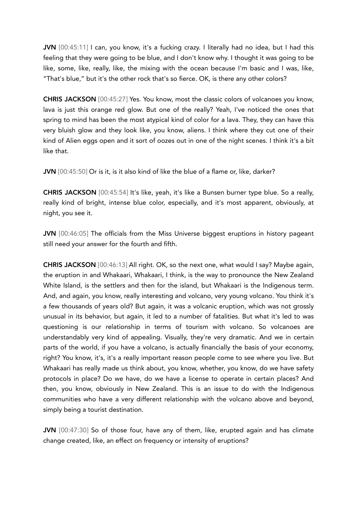JVN [00:45:11] I can, you know, it's a fucking crazy. I literally had no idea, but I had this feeling that they were going to be blue, and I don't know why. I thought it was going to be like, some, like, really, like, the mixing with the ocean because I'm basic and I was, like, "That's blue," but it's the other rock that's so fierce. OK, is there any other colors?

CHRIS JACKSON [00:45:27] Yes. You know, most the classic colors of volcanoes you know, lava is just this orange red glow. But one of the really? Yeah, I've noticed the ones that spring to mind has been the most atypical kind of color for a lava. They, they can have this very bluish glow and they look like, you know, aliens. I think where they cut one of their kind of Alien eggs open and it sort of oozes out in one of the night scenes. I think it's a bit like that.

JVN [00:45:50] Or is it, is it also kind of like the blue of a flame or, like, darker?

CHRIS JACKSON [00:45:54] It's like, yeah, it's like a Bunsen burner type blue. So a really, really kind of bright, intense blue color, especially, and it's most apparent, obviously, at night, you see it.

JVN [00:46:05] The officials from the Miss Universe biggest eruptions in history pageant still need your answer for the fourth and fifth.

CHRIS JACKSON [00:46:13] All right. OK, so the next one, what would I say? Maybe again, the eruption in and Whakaari, Whakaari, I think, is the way to pronounce the New Zealand White Island, is the settlers and then for the island, but Whakaari is the Indigenous term. And, and again, you know, really interesting and volcano, very young volcano. You think it's a few thousands of years old? But again, it was a volcanic eruption, which was not grossly unusual in its behavior, but again, it led to a number of fatalities. But what it's led to was questioning is our relationship in terms of tourism with volcano. So volcanoes are understandably very kind of appealing. Visually, they're very dramatic. And we in certain parts of the world, if you have a volcano, is actually financially the basis of your economy, right? You know, it's, it's a really important reason people come to see where you live. But Whakaari has really made us think about, you know, whether, you know, do we have safety protocols in place? Do we have, do we have a license to operate in certain places? And then, you know, obviously in New Zealand. This is an issue to do with the Indigenous communities who have a very different relationship with the volcano above and beyond, simply being a tourist destination.

JVN [00:47:30] So of those four, have any of them, like, erupted again and has climate change created, like, an effect on frequency or intensity of eruptions?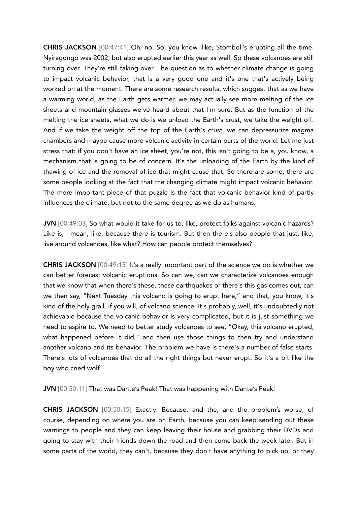CHRIS JACKSON [00:47:41] Oh, no. So, you know, like, Stomboli's erupting all the time. Nyiragongo was 2002, but also erupted earlier this year as well. So these volcanoes are still turning over. They're still taking over. The question as to whether climate change is going to impact volcanic behavior, that is a very good one and it's one that's actively being worked on at the moment. There are some research results, which suggest that as we have a warming world, as the Earth gets warmer, we may actually see more melting of the ice sheets and mountain glasses we've heard about that I'm sure. But as the function of the melting the ice sheets, what we do is we unload the Earth's crust, we take the weight off. And if we take the weight off the top of the Earth's crust, we can depressurize magma chambers and maybe cause more volcanic activity in certain parts of the world. Let me just stress that: if you don't have an ice sheet, you're not, this isn't going to be a, you know, a mechanism that is going to be of concern. It's the unloading of the Earth by the kind of thawing of ice and the removal of ice that might cause that. So there are some, there are some people looking at the fact that the changing climate might impact volcanic behavior. The more important piece of that puzzle is the fact that volcanic behavior kind of partly influences the climate, but not to the same degree as we do as humans.

JVN [00:49:03] So what would it take for us to, like, protect folks against volcanic hazards? Like is, I mean, like, because there is tourism. But then there's also people that just, like, live around volcanoes, like what? How can people protect themselves?

CHRIS JACKSON [00:49:15] It's a really important part of the science we do is whether we can better forecast volcanic eruptions. So can we, can we characterize volcanoes enough that we know that when there's these, these earthquakes or there's this gas comes out, can we then say, "Next Tuesday this volcano is going to erupt here," and that, you know, it's kind of the holy grail, if you will, of volcano science. It's probably, well, it's undoubtedly not achievable because the volcanic behavior is very complicated, but it is just something we need to aspire to. We need to better study volcanoes to see, "Okay, this volcano erupted, what happened before it did," and then use those things to then try and understand another volcano and its behavior. The problem we have is there's a number of false starts. There's lots of volcanoes that do all the right things but never erupt. So it's a bit like the boy who cried wolf.

JVN [00:50:11] That was Dante's Peak! That was happening with Dante's Peak!

CHRIS JACKSON [00:50:15] Exactly! Because, and the, and the problem's worse, of course, depending on where you are on Earth, because you can keep sending out these warnings to people and they can keep leaving their house and grabbing their DVDs and going to stay with their friends down the road and then come back the week later. But in some parts of the world, they can't, because they don't have anything to pick up, or they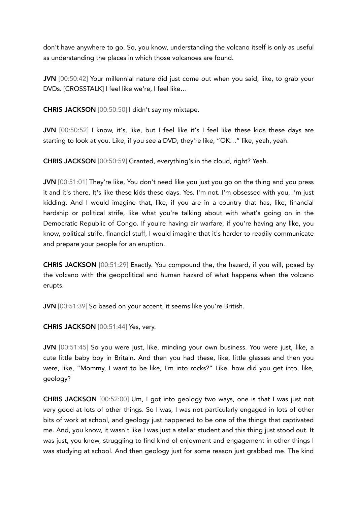don't have anywhere to go. So, you know, understanding the volcano itself is only as useful as understanding the places in which those volcanoes are found.

JVN [00:50:42] Your millennial nature did just come out when you said, like, to grab your DVDs. [CROSSTALK] I feel like we're, I feel like…

CHRIS JACKSON [00:50:50] I didn't say my mixtape.

JVN [00:50:52] I know, it's, like, but I feel like it's I feel like these kids these days are starting to look at you. Like, if you see a DVD, they're like, "OK…" like, yeah, yeah.

CHRIS JACKSON [00:50:59] Granted, everything's in the cloud, right? Yeah.

JVN [00:51:01] They're like, You don't need like you just you go on the thing and you press it and it's there. It's like these kids these days. Yes. I'm not. I'm obsessed with you, I'm just kidding. And I would imagine that, like, if you are in a country that has, like, financial hardship or political strife, like what you're talking about with what's going on in the Democratic Republic of Congo. If you're having air warfare, if you're having any like, you know, political strife, financial stuff, I would imagine that it's harder to readily communicate and prepare your people for an eruption.

CHRIS JACKSON [00:51:29] Exactly. You compound the, the hazard, if you will, posed by the volcano with the geopolitical and human hazard of what happens when the volcano erupts.

JVN [00:51:39] So based on your accent, it seems like you're British.

CHRIS JACKSON [00:51:44] Yes, very.

JVN [00:51:45] So you were just, like, minding your own business. You were just, like, a cute little baby boy in Britain. And then you had these, like, little glasses and then you were, like, "Mommy, I want to be like, I'm into rocks?" Like, how did you get into, like, geology?

CHRIS JACKSON [00:52:00] Um, I got into geology two ways, one is that I was just not very good at lots of other things. So I was, I was not particularly engaged in lots of other bits of work at school, and geology just happened to be one of the things that captivated me. And, you know, it wasn't like I was just a stellar student and this thing just stood out. It was just, you know, struggling to find kind of enjoyment and engagement in other things I was studying at school. And then geology just for some reason just grabbed me. The kind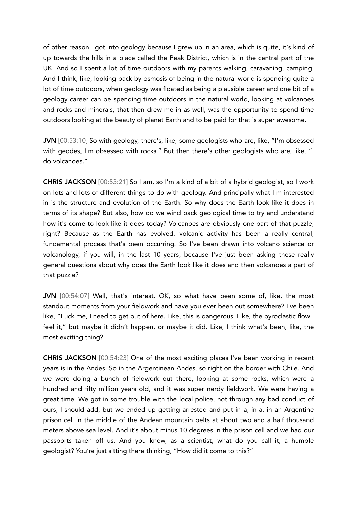of other reason I got into geology because I grew up in an area, which is quite, it's kind of up towards the hills in a place called the Peak District, which is in the central part of the UK. And so I spent a lot of time outdoors with my parents walking, caravaning, camping. And I think, like, looking back by osmosis of being in the natural world is spending quite a lot of time outdoors, when geology was floated as being a plausible career and one bit of a geology career can be spending time outdoors in the natural world, looking at volcanoes and rocks and minerals, that then drew me in as well, was the opportunity to spend time outdoors looking at the beauty of planet Earth and to be paid for that is super awesome.

JVN [00:53:10] So with geology, there's, like, some geologists who are, like, "I'm obsessed with geodes, I'm obsessed with rocks." But then there's other geologists who are, like, "I do volcanoes."

CHRIS JACKSON [00:53:21] So I am, so I'm a kind of a bit of a hybrid geologist, so I work on lots and lots of different things to do with geology. And principally what I'm interested in is the structure and evolution of the Earth. So why does the Earth look like it does in terms of its shape? But also, how do we wind back geological time to try and understand how it's come to look like it does today? Volcanoes are obviously one part of that puzzle, right? Because as the Earth has evolved, volcanic activity has been a really central, fundamental process that's been occurring. So I've been drawn into volcano science or volcanology, if you will, in the last 10 years, because I've just been asking these really general questions about why does the Earth look like it does and then volcanoes a part of that puzzle?

JVN [00:54:07] Well, that's interest. OK, so what have been some of, like, the most standout moments from your fieldwork and have you ever been out somewhere? I've been like, "Fuck me, I need to get out of here. Like, this is dangerous. Like, the pyroclastic flow I feel it," but maybe it didn't happen, or maybe it did. Like, I think what's been, like, the most exciting thing?

CHRIS JACKSON [00:54:23] One of the most exciting places I've been working in recent years is in the Andes. So in the Argentinean Andes, so right on the border with Chile. And we were doing a bunch of fieldwork out there, looking at some rocks, which were a hundred and fifty million years old, and it was super nerdy fieldwork. We were having a great time. We got in some trouble with the local police, not through any bad conduct of ours, I should add, but we ended up getting arrested and put in a, in a, in an Argentine prison cell in the middle of the Andean mountain belts at about two and a half thousand meters above sea level. And it's about minus 10 degrees in the prison cell and we had our passports taken off us. And you know, as a scientist, what do you call it, a humble geologist? You're just sitting there thinking, "How did it come to this?"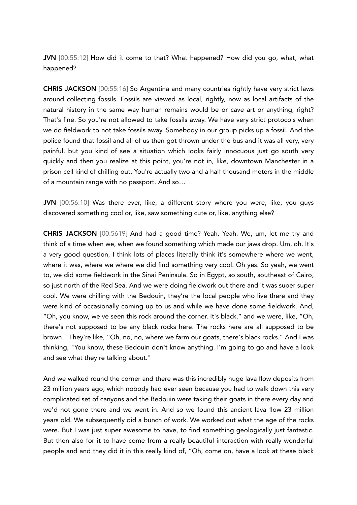JVN [00:55:12] How did it come to that? What happened? How did you go, what, what happened?

CHRIS JACKSON [00:55:16] So Argentina and many countries rightly have very strict laws around collecting fossils. Fossils are viewed as local, rightly, now as local artifacts of the natural history in the same way human remains would be or cave art or anything, right? That's fine. So you're not allowed to take fossils away. We have very strict protocols when we do fieldwork to not take fossils away. Somebody in our group picks up a fossil. And the police found that fossil and all of us then got thrown under the bus and it was all very, very painful, but you kind of see a situation which looks fairly innocuous just go south very quickly and then you realize at this point, you're not in, like, downtown Manchester in a prison cell kind of chilling out. You're actually two and a half thousand meters in the middle of a mountain range with no passport. And so…

JVN [00:56:10] Was there ever, like, a different story where you were, like, you guys discovered something cool or, like, saw something cute or, like, anything else?

CHRIS JACKSON [00:5619] And had a good time? Yeah. Yeah. We, um, let me try and think of a time when we, when we found something which made our jaws drop. Um, oh. It's a very good question, I think lots of places literally think it's somewhere where we went, where it was, where we where we did find something very cool. Oh yes. So yeah, we went to, we did some fieldwork in the Sinai Peninsula. So in Egypt, so south, southeast of Cairo, so just north of the Red Sea. And we were doing fieldwork out there and it was super super cool. We were chilling with the Bedouin, they're the local people who live there and they were kind of occasionally coming up to us and while we have done some fieldwork. And, "Oh, you know, we've seen this rock around the corner. It's black," and we were, like, "Oh, there's not supposed to be any black rocks here. The rocks here are all supposed to be brown." They're like, "Oh, no, no, where we farm our goats, there's black rocks." And I was thinking, "You know, these Bedouin don't know anything. I'm going to go and have a look and see what they're talking about."

And we walked round the corner and there was this incredibly huge lava flow deposits from 23 million years ago, which nobody had ever seen because you had to walk down this very complicated set of canyons and the Bedouin were taking their goats in there every day and we'd not gone there and we went in. And so we found this ancient lava flow 23 million years old. We subsequently did a bunch of work. We worked out what the age of the rocks were. But I was just super awesome to have, to find something geologically just fantastic. But then also for it to have come from a really beautiful interaction with really wonderful people and and they did it in this really kind of, "Oh, come on, have a look at these black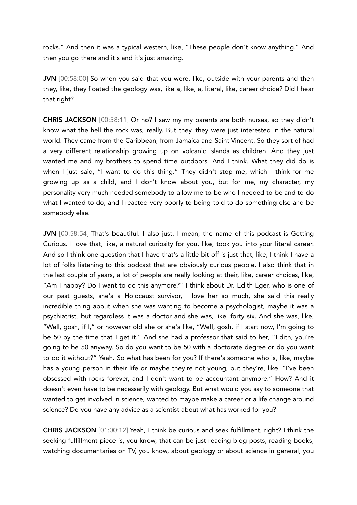rocks." And then it was a typical western, like, "These people don't know anything." And then you go there and it's and it's just amazing.

JVN [00:58:00] So when you said that you were, like, outside with your parents and then they, like, they floated the geology was, like a, like, a, literal, like, career choice? Did I hear that right?

CHRIS JACKSON [00:58:11] Or no? I saw my my parents are both nurses, so they didn't know what the hell the rock was, really. But they, they were just interested in the natural world. They came from the Caribbean, from Jamaica and Saint Vincent. So they sort of had a very different relationship growing up on volcanic islands as children. And they just wanted me and my brothers to spend time outdoors. And I think. What they did do is when I just said, "I want to do this thing." They didn't stop me, which I think for me growing up as a child, and I don't know about you, but for me, my character, my personality very much needed somebody to allow me to be who I needed to be and to do what I wanted to do, and I reacted very poorly to being told to do something else and be somebody else.

JVN [00:58:54] That's beautiful. I also just, I mean, the name of this podcast is Getting Curious. I love that, like, a natural curiosity for you, like, took you into your literal career. And so I think one question that I have that's a little bit off is just that, like, I think I have a lot of folks listening to this podcast that are obviously curious people. I also think that in the last couple of years, a lot of people are really looking at their, like, career choices, like, "Am I happy? Do I want to do this anymore?" I think about Dr. Edith Eger, who is one of our past guests, she's a Holocaust survivor, I love her so much, she said this really incredible thing about when she was wanting to become a psychologist, maybe it was a psychiatrist, but regardless it was a doctor and she was, like, forty six. And she was, like, "Well, gosh, if I," or however old she or she's like, "Well, gosh, if I start now, I'm going to be 50 by the time that I get it." And she had a professor that said to her, "Edith, you're going to be 50 anyway. So do you want to be 50 with a doctorate degree or do you want to do it without?" Yeah. So what has been for you? If there's someone who is, like, maybe has a young person in their life or maybe they're not young, but they're, like, "I've been obsessed with rocks forever, and I don't want to be accountant anymore." How? And it doesn't even have to be necessarily with geology. But what would you say to someone that wanted to get involved in science, wanted to maybe make a career or a life change around science? Do you have any advice as a scientist about what has worked for you?

CHRIS JACKSON [01:00:12] Yeah, I think be curious and seek fulfillment, right? I think the seeking fulfillment piece is, you know, that can be just reading blog posts, reading books, watching documentaries on TV, you know, about geology or about science in general, you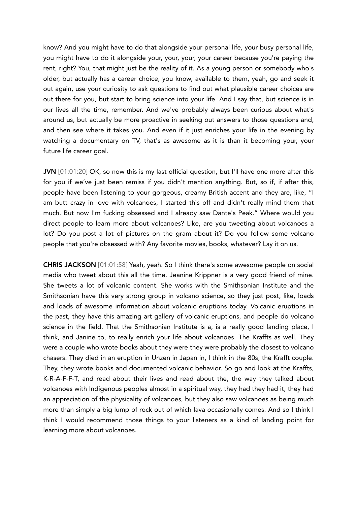know? And you might have to do that alongside your personal life, your busy personal life, you might have to do it alongside your, your, your, your career because you're paying the rent, right? You, that might just be the reality of it. As a young person or somebody who's older, but actually has a career choice, you know, available to them, yeah, go and seek it out again, use your curiosity to ask questions to find out what plausible career choices are out there for you, but start to bring science into your life. And I say that, but science is in our lives all the time, remember. And we've probably always been curious about what's around us, but actually be more proactive in seeking out answers to those questions and, and then see where it takes you. And even if it just enriches your life in the evening by watching a documentary on TV, that's as awesome as it is than it becoming your, your future life career goal.

JVN [01:01:20] OK, so now this is my last official question, but I'll have one more after this for you if we've just been remiss if you didn't mention anything. But, so if, if after this, people have been listening to your gorgeous, creamy British accent and they are, like, "I am butt crazy in love with volcanoes, I started this off and didn't really mind them that much. But now I'm fucking obsessed and I already saw Dante's Peak." Where would you direct people to learn more about volcanoes? Like, are you tweeting about volcanoes a lot? Do you post a lot of pictures on the gram about it? Do you follow some volcano people that you're obsessed with? Any favorite movies, books, whatever? Lay it on us.

CHRIS JACKSON [01:01:58] Yeah, yeah. So I think there's some awesome people on social media who tweet about this all the time. Jeanine Krippner is a very good friend of mine. She tweets a lot of volcanic content. She works with the Smithsonian Institute and the Smithsonian have this very strong group in volcano science, so they just post, like, loads and loads of awesome information about volcanic eruptions today. Volcanic eruptions in the past, they have this amazing art gallery of volcanic eruptions, and people do volcano science in the field. That the Smithsonian Institute is a, is a really good landing place, I think, and Janine to, to really enrich your life about volcanoes. The Kraffts as well. They were a couple who wrote books about they were they were probably the closest to volcano chasers. They died in an eruption in Unzen in Japan in, I think in the 80s, the Krafft couple. They, they wrote books and documented volcanic behavior. So go and look at the Kraffts, K-R-A-F-F-T, and read about their lives and read about the, the way they talked about volcanoes with Indigenous peoples almost in a spiritual way, they had they had it, they had an appreciation of the physicality of volcanoes, but they also saw volcanoes as being much more than simply a big lump of rock out of which lava occasionally comes. And so I think I think I would recommend those things to your listeners as a kind of landing point for learning more about volcanoes.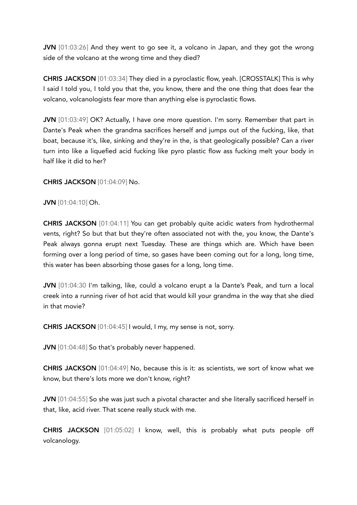JVN [01:03:26] And they went to go see it, a volcano in Japan, and they got the wrong side of the volcano at the wrong time and they died?

CHRIS JACKSON [01:03:34] They died in a pyroclastic flow, yeah. [CROSSTALK] This is why I said I told you, I told you that the, you know, there and the one thing that does fear the volcano, volcanologists fear more than anything else is pyroclastic flows.

JVN [01:03:49] OK? Actually, I have one more question. I'm sorry. Remember that part in Dante's Peak when the grandma sacrifices herself and jumps out of the fucking, like, that boat, because it's, like, sinking and they're in the, is that geologically possible? Can a river turn into like a liquefied acid fucking like pyro plastic flow ass fucking melt your body in half like it did to her?

CHRIS JACKSON [01:04:09] No.

JVN [01:04:10] Oh.

CHRIS JACKSON [01:04:11] You can get probably quite acidic waters from hydrothermal vents, right? So but that but they're often associated not with the, you know, the Dante's Peak always gonna erupt next Tuesday. These are things which are. Which have been forming over a long period of time, so gases have been coming out for a long, long time, this water has been absorbing those gases for a long, long time.

JVN [01:04:30 I'm talking, like, could a volcano erupt a la Dante's Peak, and turn a local creek into a running river of hot acid that would kill your grandma in the way that she died in that movie?

CHRIS JACKSON [01:04:45] I would, I my, my sense is not, sorry.

JVN [01:04:48] So that's probably never happened.

CHRIS JACKSON [01:04:49] No, because this is it: as scientists, we sort of know what we know, but there's lots more we don't know, right?

JVN [01:04:55] So she was just such a pivotal character and she literally sacrificed herself in that, like, acid river. That scene really stuck with me.

CHRIS JACKSON [01:05:02] I know, well, this is probably what puts people off volcanology.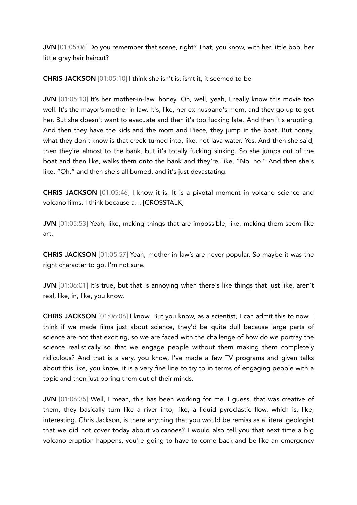JVN [01:05:06] Do you remember that scene, right? That, you know, with her little bob, her little gray hair haircut?

CHRIS JACKSON [01:05:10] I think she isn't is, isn't it, it seemed to be-

JVN [01:05:13] It's her mother-in-law, honey. Oh, well, yeah, I really know this movie too well. It's the mayor's mother-in-law. It's, like, her ex-husband's mom, and they go up to get her. But she doesn't want to evacuate and then it's too fucking late. And then it's erupting. And then they have the kids and the mom and Piece, they jump in the boat. But honey, what they don't know is that creek turned into, like, hot lava water. Yes. And then she said, then they're almost to the bank, but it's totally fucking sinking. So she jumps out of the boat and then like, walks them onto the bank and they're, like, "No, no." And then she's like, "Oh," and then she's all burned, and it's just devastating.

CHRIS JACKSON [01:05:46] I know it is. It is a pivotal moment in volcano science and volcano films. I think because a… [CROSSTALK]

JVN [01:05:53] Yeah, like, making things that are impossible, like, making them seem like art.

CHRIS JACKSON [01:05:57] Yeah, mother in law's are never popular. So maybe it was the right character to go. I'm not sure.

JVN [01:06:01] It's true, but that is annoying when there's like things that just like, aren't real, like, in, like, you know.

CHRIS JACKSON [01:06:06] I know. But you know, as a scientist, I can admit this to now. I think if we made films just about science, they'd be quite dull because large parts of science are not that exciting, so we are faced with the challenge of how do we portray the science realistically so that we engage people without them making them completely ridiculous? And that is a very, you know, I've made a few TV programs and given talks about this like, you know, it is a very fine line to try to in terms of engaging people with a topic and then just boring them out of their minds.

JVN [01:06:35] Well, I mean, this has been working for me. I guess, that was creative of them, they basically turn like a river into, like, a liquid pyroclastic flow, which is, like, interesting. Chris Jackson, is there anything that you would be remiss as a literal geologist that we did not cover today about volcanoes? I would also tell you that next time a big volcano eruption happens, you're going to have to come back and be like an emergency